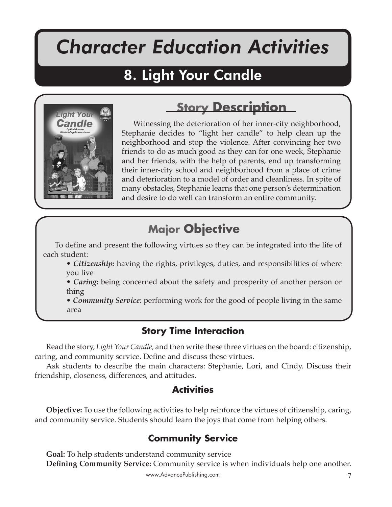# *Character Education Activities*

Light Your Candle

## 8. Light Your Candle



## **Story Description**

Witnessing the deterioration of her inner-city neighborhood, Stephanie decides to "light her candle" to help clean up the neighborhood and stop the violence. After convincing her two friends to do as much good as they can for one week, Stephanie and her friends, with the help of parents, end up transforming their inner-city school and neighborhood from a place of crime and deterioration to a model of order and cleanliness. In spite of many obstacles, Stephanie learns that one person's determination and desire to do well can transform an entire community.

## **Major Objective**

To define and present the following virtues so they can be integrated into the life of each student:

- *Citizenship:* having the rights, privileges, duties, and responsibilities of where you live
- *Caring:* being concerned about the safety and prosperity of another person or thing

• *Community Service*: performing work for the good of people living in the same area

## **Story Time Interaction**

Read the story, *Light Your Candle,* and then write these three virtues on the board: citizenship, caring, and community service. Define and discuss these virtues.

Ask students to describe the main characters: Stephanie, Lori, and Cindy. Discuss their friendship, closeness, differences, and attitudes.

### **Activities**

**Objective:** To use the following activities to help reinforce the virtues of citizenship, caring, and community service. Students should learn the joys that come from helping others.

## **Community Service**

**Goal:** To help students understand community service **Defining Community Service:** Community service is when individuals help one another.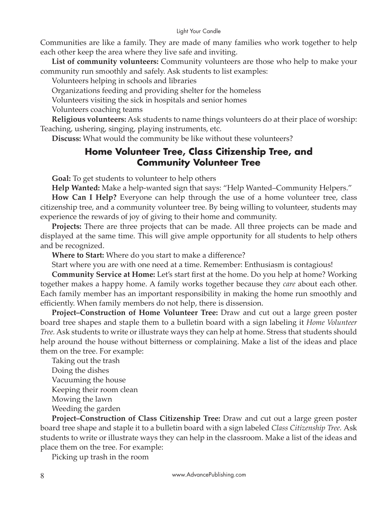#### Light Your Candle

Communities are like a family. They are made of many families who work together to help each other keep the area where they live safe and inviting.

**List of community volunteers:** Community volunteers are those who help to make your community run smoothly and safely. Ask students to list examples:

Volunteers helping in schools and libraries

Organizations feeding and providing shelter for the homeless

Volunteers visiting the sick in hospitals and senior homes

Volunteers coaching teams

**Religious volunteers:** Ask students to name things volunteers do at their place of worship: Teaching, ushering, singing, playing instruments, etc.

**Discuss:** What would the community be like without these volunteers?

### **Home Volunteer Tree, Class Citizenship Tree, and Community Volunteer Tree**

**Goal:** To get students to volunteer to help others

**Help Wanted:** Make a help-wanted sign that says: "Help Wanted–Community Helpers."

**How Can I Help?** Everyone can help through the use of a home volunteer tree, class citizenship tree, and a community volunteer tree. By being willing to volunteer, students may experience the rewards of joy of giving to their home and community.

**Projects:** There are three projects that can be made. All three projects can be made and displayed at the same time. This will give ample opportunity for all students to help others and be recognized.

**Where to Start:** Where do you start to make a difference?

Start where you are with one need at a time. Remember: Enthusiasm is contagious!

**Community Service at Home:** Let's start first at the home. Do you help at home? Working together makes a happy home. A family works together because they *care* about each other. Each family member has an important responsibility in making the home run smoothly and efficiently. When family members do not help, there is dissension.

**Project–Construction of Home Volunteer Tree:** Draw and cut out a large green poster board tree shapes and staple them to a bulletin board with a sign labeling it *Home Volunteer Tree.* Ask students to write or illustrate ways they can help at home. Stress that students should help around the house without bitterness or complaining. Make a list of the ideas and place them on the tree. For example:

Taking out the trash Doing the dishes Vacuuming the house Keeping their room clean Mowing the lawn Weeding the garden

**Project–Construction of Class Citizenship Tree:** Draw and cut out a large green poster board tree shape and staple it to a bulletin board with a sign labeled *Class Citizenship Tree.* Ask students to write or illustrate ways they can help in the classroom. Make a list of the ideas and place them on the tree. For example:

Picking up trash in the room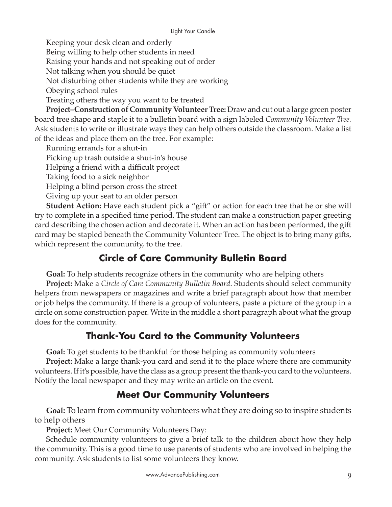Keeping your desk clean and orderly

Being willing to help other students in need

Raising your hands and not speaking out of order

Not talking when you should be quiet

Not disturbing other students while they are working

Obeying school rules

Treating others the way you want to be treated

**Project–Construction of Community Volunteer Tree:** Draw and cut out a large green poster board tree shape and staple it to a bulletin board with a sign labeled *Community Volunteer Tree.*  Ask students to write or illustrate ways they can help others outside the classroom. Make a list of the ideas and place them on the tree. For example:

Running errands for a shut-in

Picking up trash outside a shut-in's house

Helping a friend with a difficult project

Taking food to a sick neighbor

Helping a blind person cross the street

Giving up your seat to an older person

**Student Action:** Have each student pick a "gift" or action for each tree that he or she will try to complete in a specified time period. The student can make a construction paper greeting card describing the chosen action and decorate it. When an action has been performed, the gift card may be stapled beneath the Community Volunteer Tree. The object is to bring many gifts, which represent the community, to the tree.

## **Circle of Care Community Bulletin Board**

**Goal:** To help students recognize others in the community who are helping others

**Project:** Make a *Circle of Care Community Bulletin Board*. Students should select community helpers from newspapers or magazines and write a brief paragraph about how that member or job helps the community. If there is a group of volunteers, paste a picture of the group in a circle on some construction paper. Write in the middle a short paragraph about what the group does for the community.

## **Thank-You Card to the Community Volunteers**

**Goal:** To get students to be thankful for those helping as community volunteers

**Project:** Make a large thank-you card and send it to the place where there are community volunteers. If it's possible, have the class as a group present the thank-you card to the volunteers. Notify the local newspaper and they may write an article on the event.

## **Meet Our Community Volunteers**

**Goal:** To learn from community volunteers what they are doing so to inspire students to help others

**Project:** Meet Our Community Volunteers Day:

Schedule community volunteers to give a brief talk to the children about how they help the community. This is a good time to use parents of students who are involved in helping the community. Ask students to list some volunteers they know.